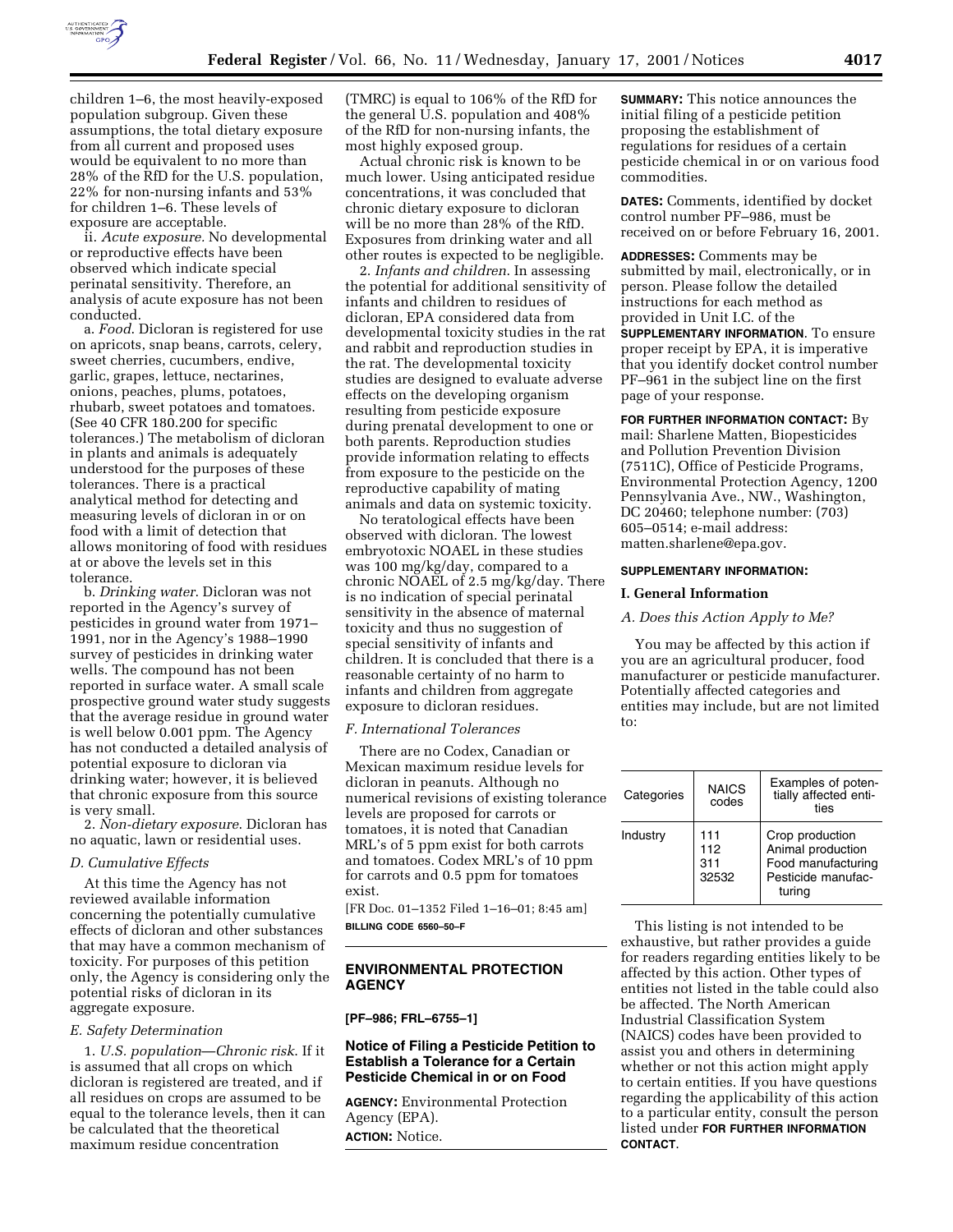

children 1–6, the most heavily-exposed population subgroup. Given these assumptions, the total dietary exposure from all current and proposed uses would be equivalent to no more than 28% of the RfD for the U.S. population, 22% for non-nursing infants and 53% for children 1–6. These levels of exposure are acceptable.

ii. *Acute exposure.* No developmental or reproductive effects have been observed which indicate special perinatal sensitivity. Therefore, an analysis of acute exposure has not been conducted.

a. *Food*. Dicloran is registered for use on apricots, snap beans, carrots, celery, sweet cherries, cucumbers, endive, garlic, grapes, lettuce, nectarines, onions, peaches, plums, potatoes, rhubarb, sweet potatoes and tomatoes. (See 40 CFR 180.200 for specific tolerances.) The metabolism of dicloran in plants and animals is adequately understood for the purposes of these tolerances. There is a practical analytical method for detecting and measuring levels of dicloran in or on food with a limit of detection that allows monitoring of food with residues at or above the levels set in this tolerance.

b. *Drinking water*. Dicloran was not reported in the Agency's survey of pesticides in ground water from 1971– 1991, nor in the Agency's 1988–1990 survey of pesticides in drinking water wells. The compound has not been reported in surface water. A small scale prospective ground water study suggests that the average residue in ground water is well below 0.001 ppm. The Agency has not conducted a detailed analysis of potential exposure to dicloran via drinking water; however, it is believed that chronic exposure from this source is very small.

2. *Non-dietary exposure*. Dicloran has no aquatic, lawn or residential uses.

#### *D. Cumulative Effects*

At this time the Agency has not reviewed available information concerning the potentially cumulative effects of dicloran and other substances that may have a common mechanism of toxicity. For purposes of this petition only, the Agency is considering only the potential risks of dicloran in its aggregate exposure.

#### *E. Safety Determination*

1. *U.S. population*—*Chronic risk*. If it is assumed that all crops on which dicloran is registered are treated, and if all residues on crops are assumed to be equal to the tolerance levels, then it can be calculated that the theoretical maximum residue concentration

(TMRC) is equal to 106% of the RfD for the general U.S. population and 408% of the RfD for non-nursing infants, the most highly exposed group.

Actual chronic risk is known to be much lower. Using anticipated residue concentrations, it was concluded that chronic dietary exposure to dicloran will be no more than 28% of the RfD. Exposures from drinking water and all other routes is expected to be negligible.

2. *Infants and children*. In assessing the potential for additional sensitivity of infants and children to residues of dicloran, EPA considered data from developmental toxicity studies in the rat and rabbit and reproduction studies in the rat. The developmental toxicity studies are designed to evaluate adverse effects on the developing organism resulting from pesticide exposure during prenatal development to one or both parents. Reproduction studies provide information relating to effects from exposure to the pesticide on the reproductive capability of mating animals and data on systemic toxicity.

No teratological effects have been observed with dicloran. The lowest embryotoxic NOAEL in these studies was 100 mg/kg/day, compared to a chronic NOAEL of 2.5 mg/kg/day. There is no indication of special perinatal sensitivity in the absence of maternal toxicity and thus no suggestion of special sensitivity of infants and children. It is concluded that there is a reasonable certainty of no harm to infants and children from aggregate exposure to dicloran residues.

# *F. International Tolerances*

There are no Codex, Canadian or Mexican maximum residue levels for dicloran in peanuts. Although no numerical revisions of existing tolerance levels are proposed for carrots or tomatoes, it is noted that Canadian MRL's of 5 ppm exist for both carrots and tomatoes. Codex MRL's of 10 ppm for carrots and 0.5 ppm for tomatoes exist.

[FR Doc. 01–1352 Filed 1–16–01; 8:45 am] **BILLING CODE 6560–50–F**

# **ENVIRONMENTAL PROTECTION AGENCY**

**[PF–986; FRL–6755–1]**

# **Notice of Filing a Pesticide Petition to Establish a Tolerance for a Certain Pesticide Chemical in or on Food**

**AGENCY:** Environmental Protection Agency (EPA). **ACTION:** Notice.

**SUMMARY:** This notice announces the initial filing of a pesticide petition proposing the establishment of regulations for residues of a certain pesticide chemical in or on various food commodities.

**DATES:** Comments, identified by docket control number PF–986, must be received on or before February 16, 2001.

**ADDRESSES:** Comments may be submitted by mail, electronically, or in person. Please follow the detailed instructions for each method as provided in Unit I.C. of the **SUPPLEMENTARY INFORMATION**. To ensure proper receipt by EPA, it is imperative that you identify docket control number PF–961 in the subject line on the first page of your response.

**FOR FURTHER INFORMATION CONTACT:** By mail: Sharlene Matten, Biopesticides and Pollution Prevention Division (7511C), Office of Pesticide Programs, Environmental Protection Agency, 1200 Pennsylvania Ave., NW., Washington, DC 20460; telephone number: (703) 605–0514; e-mail address: matten.sharlene@epa.gov.

#### **SUPPLEMENTARY INFORMATION:**

#### **I. General Information**

### *A. Does this Action Apply to Me?*

You may be affected by this action if you are an agricultural producer, food manufacturer or pesticide manufacturer. Potentially affected categories and entities may include, but are not limited to:

| Categories | <b>NAICS</b><br>codes      | Examples of poten-<br>tially affected enti-<br>ties                                        |
|------------|----------------------------|--------------------------------------------------------------------------------------------|
| Industry   | 111<br>112<br>311<br>32532 | Crop production<br>Animal production<br>Food manufacturing<br>Pesticide manufac-<br>turing |

This listing is not intended to be exhaustive, but rather provides a guide for readers regarding entities likely to be affected by this action. Other types of entities not listed in the table could also be affected. The North American Industrial Classification System (NAICS) codes have been provided to assist you and others in determining whether or not this action might apply to certain entities. If you have questions regarding the applicability of this action to a particular entity, consult the person listed under **FOR FURTHER INFORMATION CONTACT**.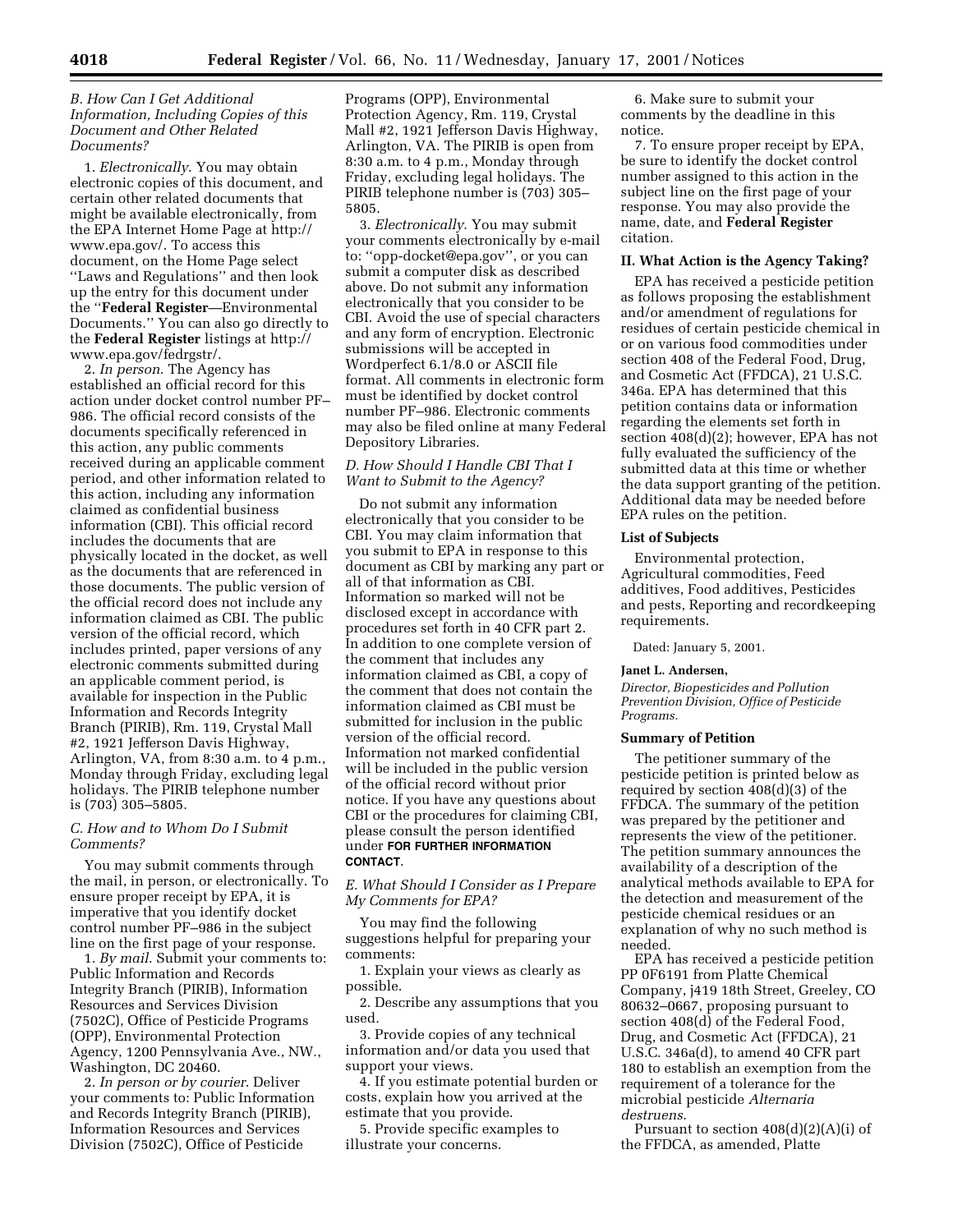# *B. How Can I Get Additional Information, Including Copies of this Document and Other Related Documents?*

1. *Electronically*. You may obtain electronic copies of this document, and certain other related documents that might be available electronically, from the EPA Internet Home Page at http:// www.epa.gov/. To access this document, on the Home Page select ''Laws and Regulations'' and then look up the entry for this document under the ''**Federal Register**—Environmental Documents.'' You can also go directly to the **Federal Register** listings at http:// www.epa.gov/fedrgstr/.

2. *In person*. The Agency has established an official record for this action under docket control number PF– 986. The official record consists of the documents specifically referenced in this action, any public comments received during an applicable comment period, and other information related to this action, including any information claimed as confidential business information (CBI). This official record includes the documents that are physically located in the docket, as well as the documents that are referenced in those documents. The public version of the official record does not include any information claimed as CBI. The public version of the official record, which includes printed, paper versions of any electronic comments submitted during an applicable comment period, is available for inspection in the Public Information and Records Integrity Branch (PIRIB), Rm. 119, Crystal Mall #2, 1921 Jefferson Davis Highway, Arlington, VA, from 8:30 a.m. to 4 p.m., Monday through Friday, excluding legal holidays. The PIRIB telephone number is (703) 305–5805.

## *C. How and to Whom Do I Submit Comments?*

You may submit comments through the mail, in person, or electronically. To ensure proper receipt by EPA, it is imperative that you identify docket control number PF–986 in the subject line on the first page of your response.

1. *By mail*. Submit your comments to: Public Information and Records Integrity Branch (PIRIB), Information Resources and Services Division (7502C), Office of Pesticide Programs (OPP), Environmental Protection Agency, 1200 Pennsylvania Ave., NW., Washington, DC 20460.

2. *In person or by courier*. Deliver your comments to: Public Information and Records Integrity Branch (PIRIB), Information Resources and Services Division (7502C), Office of Pesticide

Programs (OPP), Environmental Protection Agency, Rm. 119, Crystal Mall #2, 1921 Jefferson Davis Highway, Arlington, VA. The PIRIB is open from 8:30 a.m. to 4 p.m., Monday through Friday, excluding legal holidays. The PIRIB telephone number is (703) 305– 5805.

3. *Electronically*. You may submit your comments electronically by e-mail to: ''opp-docket@epa.gov'', or you can submit a computer disk as described above. Do not submit any information electronically that you consider to be CBI. Avoid the use of special characters and any form of encryption. Electronic submissions will be accepted in Wordperfect 6.1/8.0 or ASCII file format. All comments in electronic form must be identified by docket control number PF–986. Electronic comments may also be filed online at many Federal Depository Libraries.

# *D. How Should I Handle CBI That I Want to Submit to the Agency?*

Do not submit any information electronically that you consider to be CBI. You may claim information that you submit to EPA in response to this document as CBI by marking any part or all of that information as CBI. Information so marked will not be disclosed except in accordance with procedures set forth in 40 CFR part 2. In addition to one complete version of the comment that includes any information claimed as CBI, a copy of the comment that does not contain the information claimed as CBI must be submitted for inclusion in the public version of the official record. Information not marked confidential will be included in the public version of the official record without prior notice. If you have any questions about CBI or the procedures for claiming CBI, please consult the person identified under **FOR FURTHER INFORMATION CONTACT**.

*E. What Should I Consider as I Prepare My Comments for EPA?*

You may find the following suggestions helpful for preparing your comments:

1. Explain your views as clearly as possible.

2. Describe any assumptions that you used.

3. Provide copies of any technical information and/or data you used that support your views.

4. If you estimate potential burden or costs, explain how you arrived at the estimate that you provide.

5. Provide specific examples to illustrate your concerns.

6. Make sure to submit your comments by the deadline in this notice.

7. To ensure proper receipt by EPA, be sure to identify the docket control number assigned to this action in the subject line on the first page of your response. You may also provide the name, date, and **Federal Register** citation.

#### **II. What Action is the Agency Taking?**

EPA has received a pesticide petition as follows proposing the establishment and/or amendment of regulations for residues of certain pesticide chemical in or on various food commodities under section 408 of the Federal Food, Drug, and Cosmetic Act (FFDCA), 21 U.S.C. 346a. EPA has determined that this petition contains data or information regarding the elements set forth in section 408(d)(2); however, EPA has not fully evaluated the sufficiency of the submitted data at this time or whether the data support granting of the petition. Additional data may be needed before EPA rules on the petition.

## **List of Subjects**

Environmental protection, Agricultural commodities, Feed additives, Food additives, Pesticides and pests, Reporting and recordkeeping requirements.

Dated: January 5, 2001.

#### **Janet L. Andersen,**

*Director, Biopesticides and Pollution Prevention Division, Office of Pesticide Programs.*

## **Summary of Petition**

The petitioner summary of the pesticide petition is printed below as required by section 408(d)(3) of the FFDCA. The summary of the petition was prepared by the petitioner and represents the view of the petitioner. The petition summary announces the availability of a description of the analytical methods available to EPA for the detection and measurement of the pesticide chemical residues or an explanation of why no such method is needed.

EPA has received a pesticide petition PP 0F6191 from Platte Chemical Company, j419 18th Street, Greeley, CO 80632–0667, proposing pursuant to section 408(d) of the Federal Food, Drug, and Cosmetic Act (FFDCA), 21 U.S.C. 346a(d), to amend 40 CFR part 180 to establish an exemption from the requirement of a tolerance for the microbial pesticide *Alternaria destruens*.

Pursuant to section 408(d)(2)(A)(i) of the FFDCA, as amended, Platte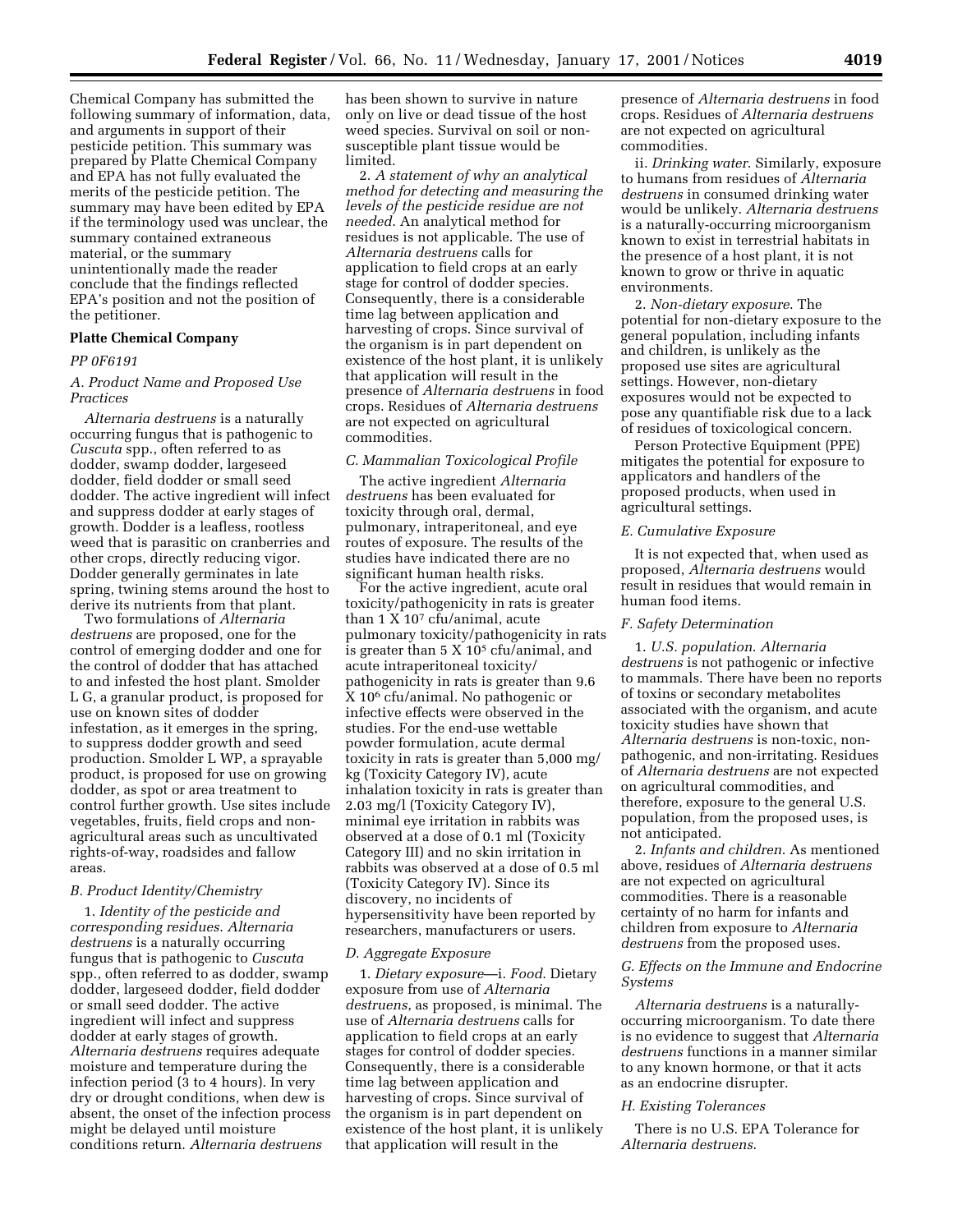Chemical Company has submitted the following summary of information, data, and arguments in support of their pesticide petition. This summary was prepared by Platte Chemical Company and EPA has not fully evaluated the merits of the pesticide petition. The summary may have been edited by EPA if the terminology used was unclear, the summary contained extraneous material, or the summary unintentionally made the reader conclude that the findings reflected EPA's position and not the position of the petitioner.

#### **Platte Chemical Company**

## *PP 0F6191*

# *A. Product Name and Proposed Use Practices*

*Alternaria destruens* is a naturally occurring fungus that is pathogenic to *Cuscuta* spp., often referred to as dodder, swamp dodder, largeseed dodder, field dodder or small seed dodder. The active ingredient will infect and suppress dodder at early stages of growth. Dodder is a leafless, rootless weed that is parasitic on cranberries and other crops, directly reducing vigor. Dodder generally germinates in late spring, twining stems around the host to derive its nutrients from that plant.

Two formulations of *Alternaria destruens* are proposed, one for the control of emerging dodder and one for the control of dodder that has attached to and infested the host plant. Smolder L G, a granular product, is proposed for use on known sites of dodder infestation, as it emerges in the spring, to suppress dodder growth and seed production. Smolder L WP, a sprayable product, is proposed for use on growing dodder, as spot or area treatment to control further growth. Use sites include vegetables, fruits, field crops and nonagricultural areas such as uncultivated rights-of-way, roadsides and fallow areas.

# *B. Product Identity/Chemistry*

1. *Identity of the pesticide and corresponding residues*. *Alternaria destruens* is a naturally occurring fungus that is pathogenic to *Cuscuta* spp., often referred to as dodder, swamp dodder, largeseed dodder, field dodder or small seed dodder. The active ingredient will infect and suppress dodder at early stages of growth. *Alternaria destruens* requires adequate moisture and temperature during the infection period (3 to 4 hours). In very dry or drought conditions, when dew is absent, the onset of the infection process might be delayed until moisture conditions return. *Alternaria destruens*

has been shown to survive in nature only on live or dead tissue of the host weed species. Survival on soil or nonsusceptible plant tissue would be limited.

2. *A statement of why an analytical method for detecting and measuring the levels of the pesticide residue are not needed*. An analytical method for residues is not applicable. The use of *Alternaria destruens* calls for application to field crops at an early stage for control of dodder species. Consequently, there is a considerable time lag between application and harvesting of crops. Since survival of the organism is in part dependent on existence of the host plant, it is unlikely that application will result in the presence of *Alternaria destruens* in food crops. Residues of *Alternaria destruens* are not expected on agricultural commodities.

### *C. Mammalian Toxicological Profile*

The active ingredient *Alternaria destruens* has been evaluated for toxicity through oral, dermal, pulmonary, intraperitoneal, and eye routes of exposure. The results of the studies have indicated there are no significant human health risks.

For the active ingredient, acute oral toxicity/pathogenicity in rats is greater than 1 X 107 cfu/animal, acute pulmonary toxicity/pathogenicity in rats is greater than 5 X  $10^5$  cfu/animal, and acute intraperitoneal toxicity/ pathogenicity in rats is greater than 9.6 X 106 cfu/animal. No pathogenic or infective effects were observed in the studies. For the end-use wettable powder formulation, acute dermal toxicity in rats is greater than 5,000 mg/ kg (Toxicity Category IV), acute inhalation toxicity in rats is greater than 2.03 mg/l (Toxicity Category IV), minimal eye irritation in rabbits was observed at a dose of 0.1 ml (Toxicity Category III) and no skin irritation in rabbits was observed at a dose of 0.5 ml (Toxicity Category IV). Since its discovery, no incidents of hypersensitivity have been reported by researchers, manufacturers or users.

#### *D. Aggregate Exposure*

1. *Dietary exposure*—i. *Food*. Dietary exposure from use of *Alternaria destruens*, as proposed, is minimal. The use of *Alternaria destruens* calls for application to field crops at an early stages for control of dodder species. Consequently, there is a considerable time lag between application and harvesting of crops. Since survival of the organism is in part dependent on existence of the host plant, it is unlikely that application will result in the

presence of *Alternaria destruens* in food crops. Residues of *Alternaria destruens* are not expected on agricultural commodities.

ii. *Drinking water*. Similarly, exposure to humans from residues of *Alternaria destruens* in consumed drinking water would be unlikely. *Alternaria destruens* is a naturally-occurring microorganism known to exist in terrestrial habitats in the presence of a host plant, it is not known to grow or thrive in aquatic environments.

2. *Non-dietary exposure*. The potential for non-dietary exposure to the general population, including infants and children, is unlikely as the proposed use sites are agricultural settings. However, non-dietary exposures would not be expected to pose any quantifiable risk due to a lack of residues of toxicological concern.

Person Protective Equipment (PPE) mitigates the potential for exposure to applicators and handlers of the proposed products, when used in agricultural settings.

# *E. Cumulative Exposure*

It is not expected that, when used as proposed, *Alternaria destruens* would result in residues that would remain in human food items.

## *F. Safety Determination*

1. *U.S. population*. *Alternaria destruens* is not pathogenic or infective to mammals. There have been no reports of toxins or secondary metabolites associated with the organism, and acute toxicity studies have shown that *Alternaria destruens* is non-toxic, nonpathogenic, and non-irritating. Residues of *Alternaria destruens* are not expected on agricultural commodities, and therefore, exposure to the general U.S. population, from the proposed uses, is not anticipated.

2. *Infants and children*. As mentioned above, residues of *Alternaria destruens* are not expected on agricultural commodities. There is a reasonable certainty of no harm for infants and children from exposure to *Alternaria destruens* from the proposed uses.

## *G. Effects on the Immune and Endocrine Systems*

*Alternaria destruens* is a naturallyoccurring microorganism. To date there is no evidence to suggest that *Alternaria destruens* functions in a manner similar to any known hormone, or that it acts as an endocrine disrupter.

#### *H. Existing Tolerances*

There is no U.S. EPA Tolerance for *Alternaria destruens*.